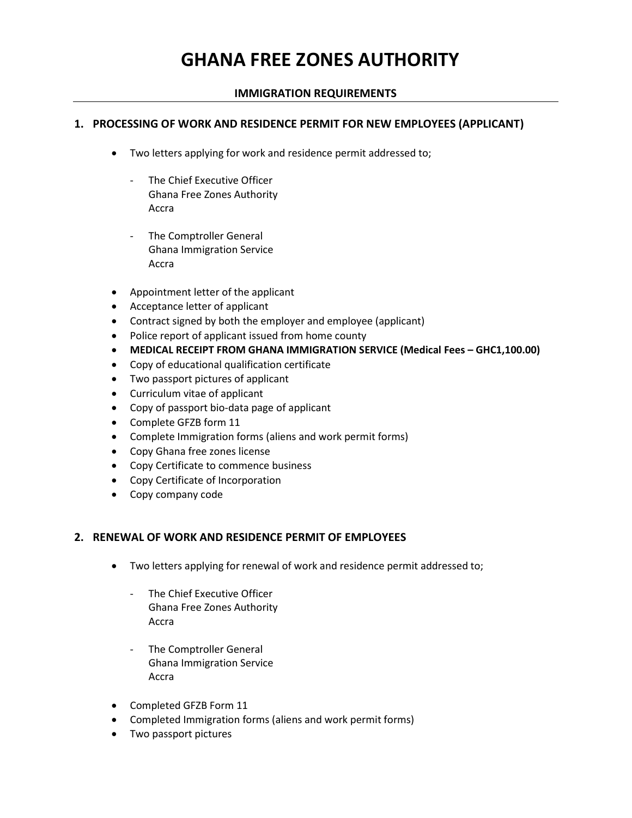# GHANA FREE ZONES AUTHORITY

### IMMIGRATION REQUIREMENTS

#### 1. PROCESSING OF WORK AND RESIDENCE PERMIT FOR NEW EMPLOYEES (APPLICANT)

- Two letters applying for work and residence permit addressed to;
	- The Chief Executive Officer Ghana Free Zones Authority Accra
	- The Comptroller General Ghana Immigration Service Accra
- Appointment letter of the applicant
- Acceptance letter of applicant
- Contract signed by both the employer and employee (applicant)
- Police report of applicant issued from home county
- MEDICAL RECEIPT FROM GHANA IMMIGRATION SERVICE (Medical Fees GHC1,100.00)
- Copy of educational qualification certificate
- Two passport pictures of applicant
- Curriculum vitae of applicant
- Copy of passport bio-data page of applicant
- Complete GFZB form 11
- Complete Immigration forms (aliens and work permit forms)
- Copy Ghana free zones license
- Copy Certificate to commence business
- Copy Certificate of Incorporation
- Copy company code

#### 2. RENEWAL OF WORK AND RESIDENCE PERMIT OF EMPLOYEES

- Two letters applying for renewal of work and residence permit addressed to;
	- The Chief Executive Officer Ghana Free Zones Authority Accra
	- The Comptroller General Ghana Immigration Service Accra
- Completed GFZB Form 11
- Completed Immigration forms (aliens and work permit forms)
- Two passport pictures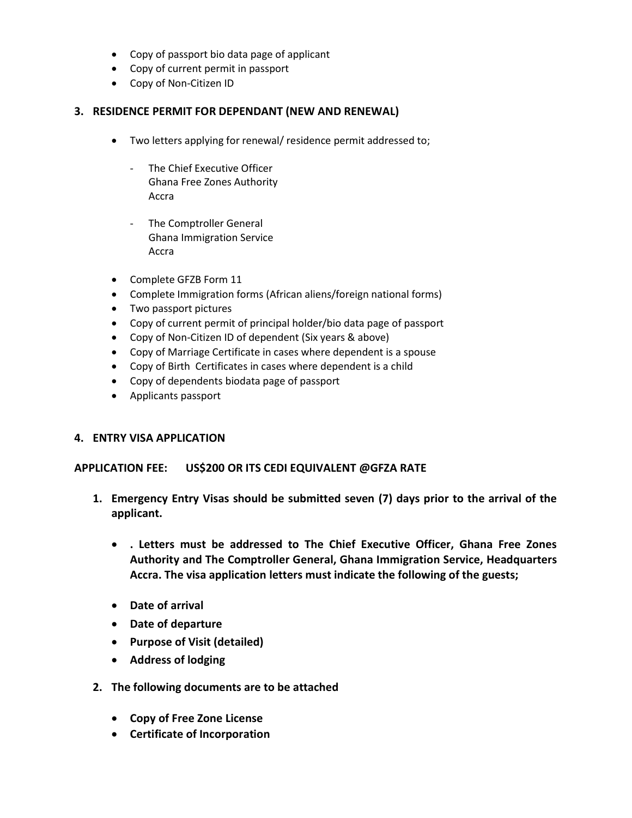- Copy of passport bio data page of applicant
- Copy of current permit in passport
- Copy of Non-Citizen ID

#### 3. RESIDENCE PERMIT FOR DEPENDANT (NEW AND RENEWAL)

- Two letters applying for renewal/ residence permit addressed to;
	- The Chief Executive Officer Ghana Free Zones Authority Accra
	- The Comptroller General Ghana Immigration Service Accra
- Complete GFZB Form 11
- Complete Immigration forms (African aliens/foreign national forms)
- Two passport pictures
- Copy of current permit of principal holder/bio data page of passport
- Copy of Non-Citizen ID of dependent (Six years & above)
- Copy of Marriage Certificate in cases where dependent is a spouse
- Copy of Birth Certificates in cases where dependent is a child
- Copy of dependents biodata page of passport
- Applicants passport

#### 4. ENTRY VISA APPLICATION

#### APPLICATION FEE: US\$200 OR ITS CEDI EQUIVALENT @GFZA RATE

- 1. Emergency Entry Visas should be submitted seven (7) days prior to the arrival of the applicant.
	- . Letters must be addressed to The Chief Executive Officer, Ghana Free Zones Authority and The Comptroller General, Ghana Immigration Service, Headquarters Accra. The visa application letters must indicate the following of the guests;
	- Date of arrival
	- Date of departure
	- Purpose of Visit (detailed)
	- Address of lodging
- 2. The following documents are to be attached
	- Copy of Free Zone License
	- Certificate of Incorporation